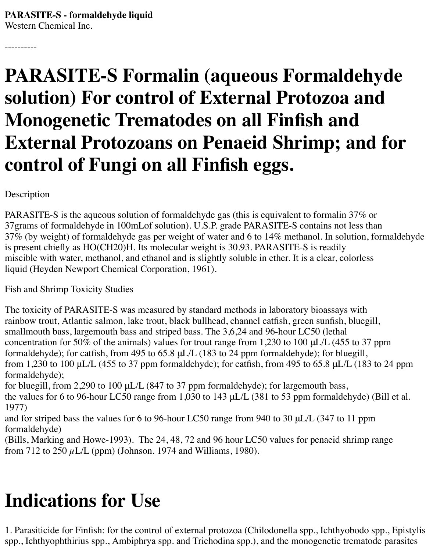----------

# **PARASITE-S Formalin (aqueous Formaldehyde solution) For control of External Protozoa and Monogenetic Trematodes on all Finfish and External Protozoans on Penaeid Shrimp; and for control of Fungi on all Finfish eggs.**

Description

PARASITE-S is the aqueous solution of formaldehyde gas (this is equivalent to formalin 37% or 37grams of formaldehyde in 100mLof solution). U.S.P. grade PARASITE-S contains not less than 37% (by weight) of formaldehyde gas per weight of water and 6 to 14% methanol. In solution, formaldehyde is present chiefly as HO(CH20)H. Its molecular weight is 30.93. PARASITE-S is readily miscible with water, methanol, and ethanol and is slightly soluble in ether. It is a clear, colorless liquid (Heyden Newport Chemical Corporation, 1961).

Fish and Shrimp Toxicity Studies

The toxicity of PARASITE-S was measured by standard methods in laboratory bioassays with rainbow trout, Atlantic salmon, lake trout, black bullhead, channel catfish, green sunfish, bluegill, smallmouth bass, largemouth bass and striped bass. The 3,6,24 and 96-hour LC50 (lethal concentration for 50% of the animals) values for trout range from 1,230 to 100 μL/L (455 to 37 ppm formaldehyde); for catfish, from 495 to 65.8 μL/L (183 to 24 ppm formaldehyde); for bluegill, from 1,230 to 100 μL/L (455 to 37 ppm formaldehyde); for catfish, from 495 to 65.8 μL/L (183 to 24 ppm formaldehyde);

for bluegill, from 2,290 to 100 μL/L (847 to 37 ppm formaldehyde); for largemouth bass, the values for 6 to 96-hour LC50 range from 1,030 to 143 μL/L (381 to 53 ppm formaldehyde) (Bill et al. 1977)

and for striped bass the values for 6 to 96-hour LC50 range from 940 to 30 μL/L (347 to 11 ppm formaldehyde)

(Bills, Marking and Howe-1993). The 24, 48, 72 and 96 hour LC50 values for penaeid shrimp range from 712 to 250  $\mu$ L/L (ppm) (Johnson. 1974 and Williams, 1980).

# **Indications for Use**

1. Parasiticide for Finfish: for the control of external protozoa (Chilodonella spp., Ichthyobodo spp., Epistylis spp., Ichthyophthirius spp., Ambiphrya spp. and Trichodina spp.), and the monogenetic trematode parasites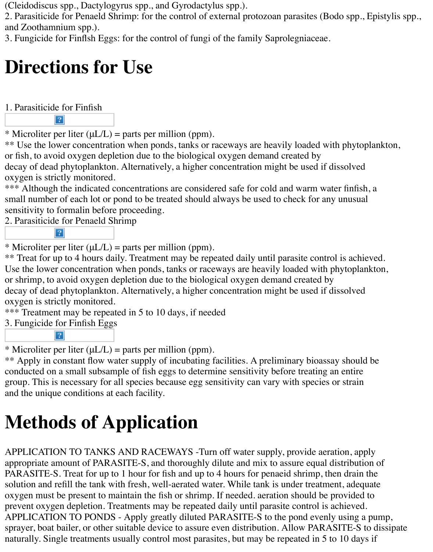(Cleidodiscus spp., Dactylogyrus spp., and Gyrodactylus spp.).

2. Parasiticide for Penaeld Shrimp: for the control of external protozoan parasites (Bodo spp., Epistylis spp., and Zoothamnium spp.).

3. Fungicide for Finflsh Eggs: for the control of fungi of the family Saprolegniaceae.

## **Directions for Use**

1. Parasiticide for Finfish

 $\overline{?}$ 

\* Microliter per liter  $(\mu L/L)$  = parts per million (ppm).

\*\* Use the lower concentration when ponds, tanks or raceways are heavily loaded with phytoplankton, or fish, to avoid oxygen depletion due to the biological oxygen demand created by decay of dead phytoplankton. Alternatively, a higher concentration might be used if dissolved oxygen is strictly monitored.

\*\*\* Although the indicated concentrations are considered safe for cold and warm water finfish, a small number of each lot or pond to be treated should always be used to check for any unusual sensitivity to formalin before proceeding.

2. Parasiticide for Penaeld Shrimp

 $|2|$ 

\* Microliter per liter  $(\mu L/L)$  = parts per million (ppm).

\*\* Treat for up to 4 hours daily. Treatment may be repeated daily until parasite control is achieved. Use the lower concentration when ponds, tanks or raceways are heavily loaded with phytoplankton, or shrimp, to avoid oxygen depletion due to the biological oxygen demand created by decay of dead phytoplankton. Alternatively, a higher concentration might be used if dissolved oxygen is strictly monitored.

\*\*\* Treatment may be repeated in 5 to 10 days, if needed

3. Fungicide for Finfish Eggs  $|?|$ 

\* Microliter per liter  $(\mu L/L)$  = parts per million (ppm).

\*\* Apply in constant flow water supply of incubating facilities. A preliminary bioassay should be conducted on a small subsample of fish eggs to determine sensitivity before treating an entire group. This is necessary for all species because egg sensitivity can vary with species or strain and the unique conditions at each facility.

# **Methods of Application**

APPLICATION TO TANKS AND RACEWAYS -Turn off water supply, provide aeration, apply appropriate amount of PARASITE-S, and thoroughly dilute and mix to assure equal distribution of PARASITE-S. Treat for up to 1 hour for fish and up to 4 hours for penaeid shrimp, then drain the solution and refill the tank with fresh, well-aerated water. While tank is under treatment, adequate oxygen must be present to maintain the fish or shrimp. If needed. aeration should be provided to prevent oxygen depletion. Treatments may be repeated daily until parasite control is achieved. APPLICATION TO PONDS - Apply greatly diluted PARASITE-S to the pond evenly using a pump, sprayer, boat bailer, or other suitable device to assure even distribution. Allow PARASITE-S to dissipate naturally. Single treatments usually control most parasites, but may be repeated in 5 to 10 days if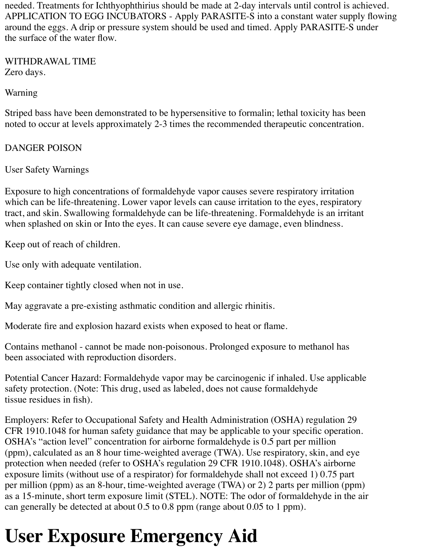needed. Treatments for Ichthyophthirius should be made at 2-day intervals until control is achieved. APPLICATION TO EGG INCUBATORS - Apply PARASITE-S into a constant water supply flowing around the eggs. A drip or pressure system should be used and timed. Apply PARASITE-S under the surface of the water flow.

WITHDRAWAL TIME Zero days.

Warning

Striped bass have been demonstrated to be hypersensitive to formalin; lethal toxicity has been noted to occur at levels approximately 2-3 times the recommended therapeutic concentration.

#### DANGER POISON

User Safety Warnings

Exposure to high concentrations of formaldehyde vapor causes severe respiratory irritation which can be life-threatening. Lower vapor levels can cause irritation to the eyes, respiratory tract, and skin. Swallowing formaldehyde can be life-threatening. Formaldehyde is an irritant when splashed on skin or Into the eyes. It can cause severe eye damage, even blindness.

Keep out of reach of children.

Use only with adequate ventilation.

Keep container tightly closed when not in use.

May aggravate a pre-existing asthmatic condition and allergic rhinitis.

Moderate fire and explosion hazard exists when exposed to heat or flame.

Contains methanol - cannot be made non-poisonous. Prolonged exposure to methanol has been associated with reproduction disorders.

Potential Cancer Hazard: Formaldehyde vapor may be carcinogenic if inhaled. Use applicable safety protection. (Note: This drug, used as labeled, does not cause formaldehyde tissue residues in fish).

Employers: Refer to Occupational Safety and Health Administration (OSHA) regulation 29 CFR 1910.1048 for human safety guidance that may be applicable to your specific operation. OSHA's "action level" concentration for airborne formaldehyde is 0.5 part per million (ppm), calculated as an 8 hour time-weighted average (TWA). Use respiratory, skin, and eye protection when needed (refer to OSHA's regulation 29 CFR 1910.1048). OSHA's airborne exposure limits (without use of a respirator) for formaldehyde shall not exceed 1) 0.75 part per million (ppm) as an 8-hour, time-weighted average (TWA) or 2) 2 parts per million (ppm) as a 15-minute, short term exposure limit (STEL). NOTE: The odor of formaldehyde in the air can generally be detected at about 0.5 to 0.8 ppm (range about 0.05 to 1 ppm).

# **User Exposure Emergency Aid**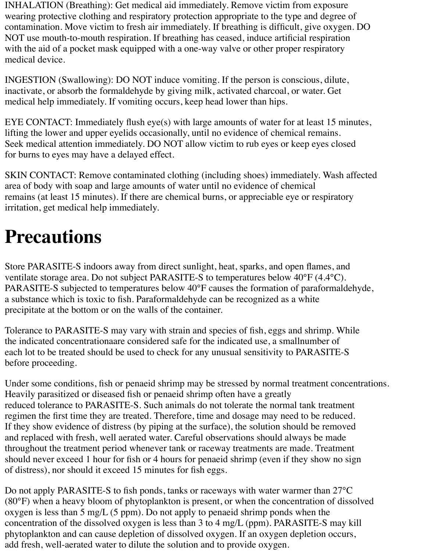INHALATION (Breathing): Get medical aid immediately. Remove victim from exposure wearing protective clothing and respiratory protection appropriate to the type and degree of contamination. Move victim to fresh air immediately. If breathing is difficult, give oxygen. DO NOT use mouth-to-mouth respiration. If breathing has ceased, induce artificial respiration with the aid of a pocket mask equipped with a one-way valve or other proper respiratory medical device.

INGESTION (Swallowing): DO NOT induce vomiting. If the person is conscious, dilute, inactivate, or absorb the formaldehyde by giving milk, activated charcoal, or water. Get medical help immediately. If vomiting occurs, keep head lower than hips.

EYE CONTACT: Immediately flush eye(s) with large amounts of water for at least 15 minutes, lifting the lower and upper eyelids occasionally, until no evidence of chemical remains. Seek medical attention immediately. DO NOT allow victim to rub eyes or keep eyes closed for burns to eyes may have a delayed effect.

SKIN CONTACT: Remove contaminated clothing (including shoes) immediately. Wash affected area of body with soap and large amounts of water until no evidence of chemical remains (at least 15 minutes). If there are chemical burns, or appreciable eye or respiratory irritation, get medical help immediately.

#### **Precautions**

Store PARASITE-S indoors away from direct sunlight, heat, sparks, and open flames, and ventilate storage area. Do not subject PARASITE-S to temperatures below 40°F (4.4°C). PARASITE-S subjected to temperatures below 40°F causes the formation of paraformaldehyde, a substance which is toxic to fish. Paraformaldehyde can be recognized as a white precipitate at the bottom or on the walls of the container.

Tolerance to PARASITE-S may vary with strain and species of fish, eggs and shrimp. While the indicated concentrationaare considered safe for the indicated use, a smallnumber of each lot to be treated should be used to check for any unusual sensitivity to PARASITE-S before proceeding.

Under some conditions, fish or penaeid shrimp may be stressed by normal treatment concentrations. Heavily parasitized or diseased fish or penaeid shrimp often have a greatly reduced tolerance to PARASITE-S. Such animals do not tolerate the normal tank treatment regimen the first time they are treated. Therefore, time and dosage may need to be reduced. If they show evidence of distress (by piping at the surface), the solution should be removed and replaced with fresh, well aerated water. Careful observations should always be made throughout the treatment period whenever tank or raceway treatments are made. Treatment should never exceed 1 hour for fish or 4 hours for penaeid shrimp (even if they show no sign of distress), nor should it exceed 15 minutes for fish eggs.

Do not apply PARASITE-S to fish ponds, tanks or raceways with water warmer than 27°C (80°F) when a heavy bloom of phytoplankton is present, or when the concentration of dissolved oxygen is less than 5 mg/L (5 ppm). Do not apply to penaeid shrimp ponds when the concentration of the dissolved oxygen is less than 3 to 4 mg/L (ppm). PARASITE-S may kill phytoplankton and can cause depletion of dissolved oxygen. If an oxygen depletion occurs, add fresh, well-aerated water to dilute the solution and to provide oxygen.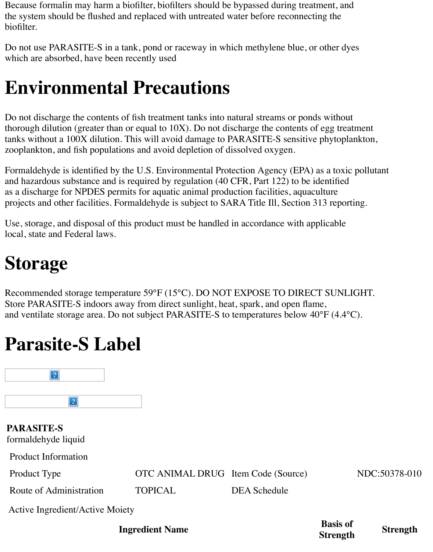Because formalin may harm a biofilter, biofilters should be bypassed during treatment, and the system should be flushed and replaced with untreated water before reconnecting the biofilter.

Do not use PARASITE-S in a tank, pond or raceway in which methylene blue, or other dyes which are absorbed, have been recently used

#### **Environmental Precautions**

Do not discharge the contents of fish treatment tanks into natural streams or ponds without thorough dilution (greater than or equal to 10X). Do not discharge the contents of egg treatment tanks without a 100X dilution. This will avoid damage to PARASITE-S sensitive phytoplankton, zooplankton, and fish populations and avoid depletion of dissolved oxygen.

Formaldehyde is identified by the U.S. Environmental Protection Agency (EPA) as a toxic pollutant and hazardous substance and is required by regulation (40 CFR, Part 122) to be identified as a discharge for NPDES permits for aquatic animal production facilities, aquaculture projects and other facilities. Formaldehyde is subject to SARA Title Ill, Section 313 reporting.

Use, storage, and disposal of this product must be handled in accordance with applicable local, state and Federal laws.

## **Storage**

Recommended storage temperature 59°F (15°C). DO NOT EXPOSE TO DIRECT SUNLIGHT. Store PARASITE-S indoors away from direct sunlight, heat, spark, and open flame, and ventilate storage area. Do not subject PARASITE-S to temperatures below 40°F (4.4°C).

#### **Parasite-S Label**